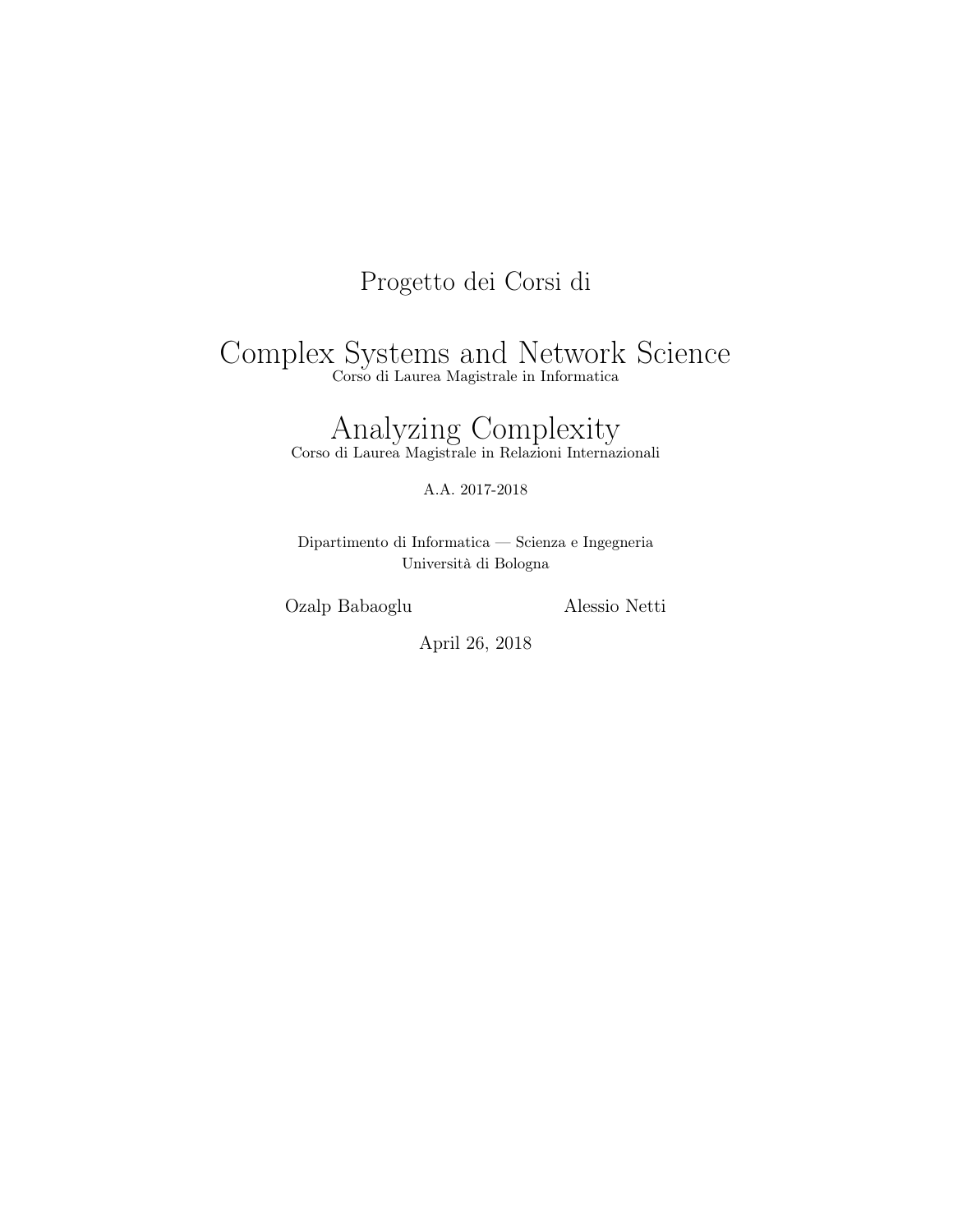## Progetto dei Corsi di

# Complex Systems and Network Science

Corso di Laurea Magistrale in Informatica

## Analyzing Complexity

Corso di Laurea Magistrale in Relazioni Internazionali

A.A. 2017-2018

Dipartimento di Informatica — Scienza e Ingegneria Università di Bologna

Ozalp Babaoglu Alessio Netti

April 26, 2018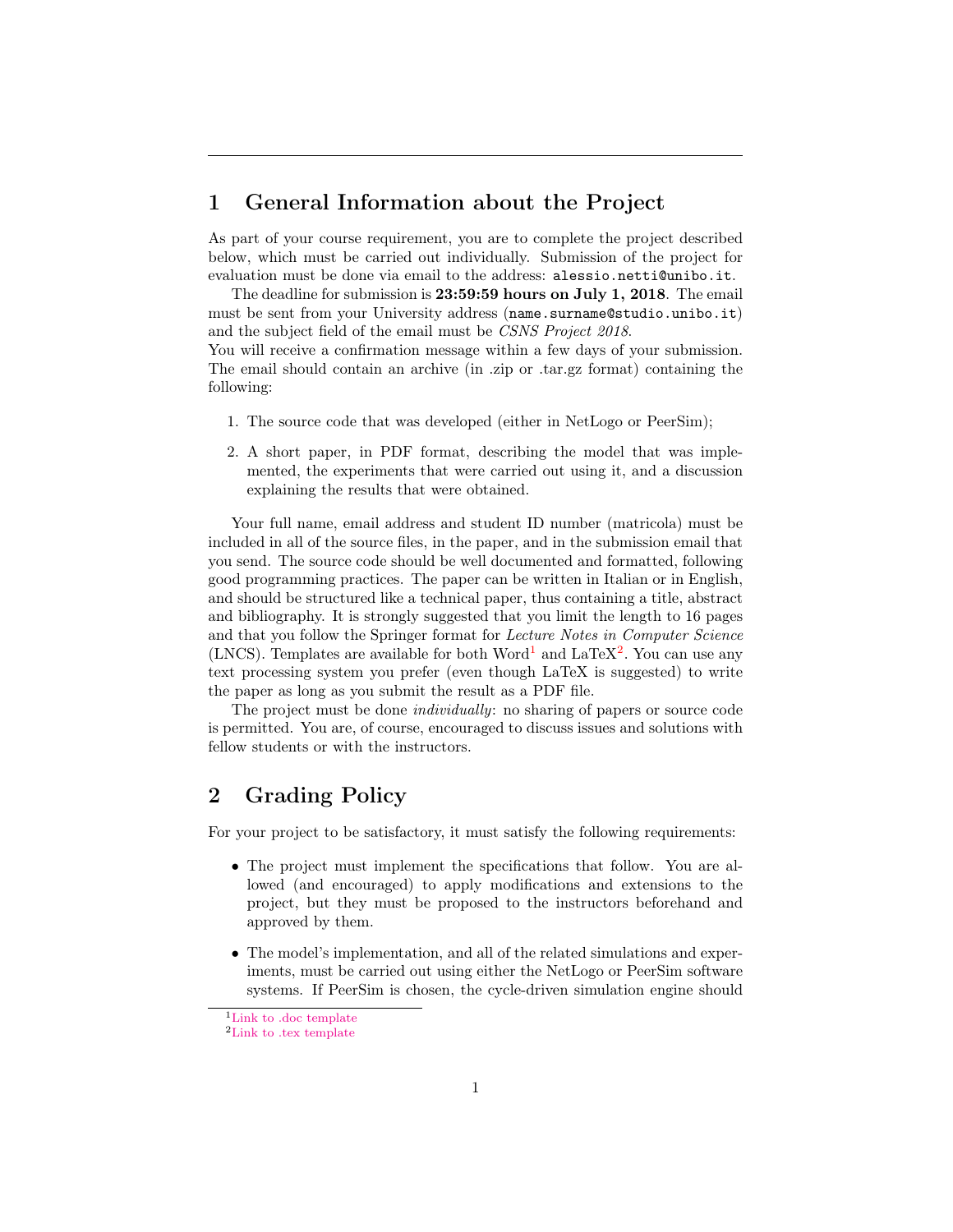#### 1 General Information about the Project

As part of your course requirement, you are to complete the project described below, which must be carried out individually. Submission of the project for evaluation must be done via email to the address: alessio.netti@unibo.it.

The deadline for submission is 23:59:59 hours on July 1, 2018. The email must be sent from your University address (name.surname@studio.unibo.it) and the subject field of the email must be CSNS Project 2018.

You will receive a confirmation message within a few days of your submission. The email should contain an archive (in .zip or .tar.gz format) containing the following:

- 1. The source code that was developed (either in NetLogo or PeerSim);
- 2. A short paper, in PDF format, describing the model that was implemented, the experiments that were carried out using it, and a discussion explaining the results that were obtained.

Your full name, email address and student ID number (matricola) must be included in all of the source files, in the paper, and in the submission email that you send. The source code should be well documented and formatted, following good programming practices. The paper can be written in Italian or in English, and should be structured like a technical paper, thus containing a title, abstract and bibliography. It is strongly suggested that you limit the length to 16 pages and that you follow the Springer format for Lecture Notes in Computer Science (LNCS). Templates are available for both Word<sup>[1](#page-1-0)</sup> and LaTeX<sup>[2](#page-1-1)</sup>. You can use any text processing system you prefer (even though LaTeX is suggested) to write the paper as long as you submit the result as a PDF file.

The project must be done individually: no sharing of papers or source code is permitted. You are, of course, encouraged to discuss issues and solutions with fellow students or with the instructors.

### 2 Grading Policy

For your project to be satisfactory, it must satisfy the following requirements:

- The project must implement the specifications that follow. You are allowed (and encouraged) to apply modifications and extensions to the project, but they must be proposed to the instructors beforehand and approved by them.
- The model's implementation, and all of the related simulations and experiments, must be carried out using either the NetLogo or PeerSim software systems. If PeerSim is chosen, the cycle-driven simulation engine should

<span id="page-1-0"></span><sup>&</sup>lt;sup>1</sup>[Link to .doc template](http://www.moreno.marzolla.name/teaching/complex-systems/2013-2014/word_template.zip)

<span id="page-1-1"></span> $^2{\rm Link}$  to .tex template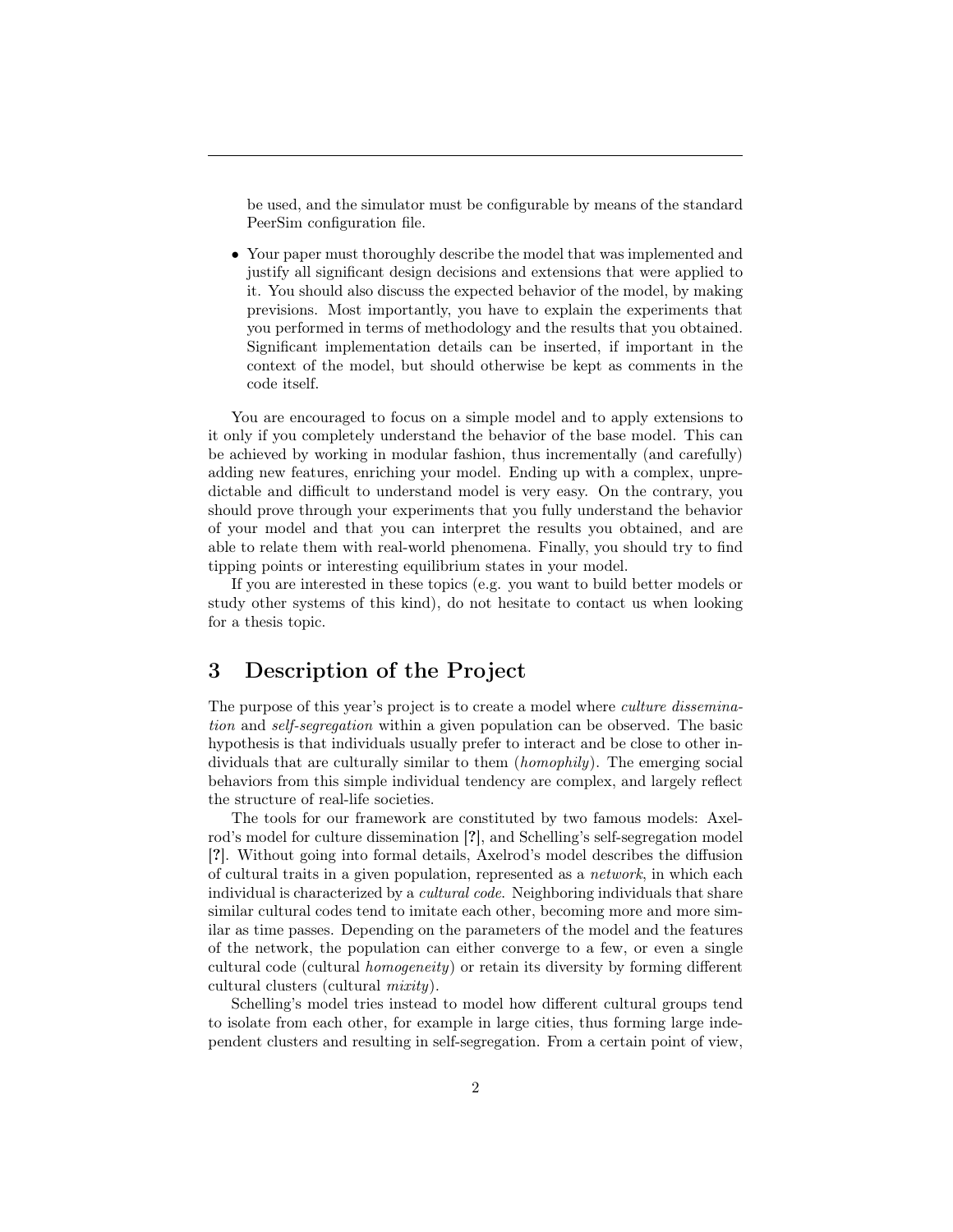be used, and the simulator must be configurable by means of the standard PeerSim configuration file.

• Your paper must thoroughly describe the model that was implemented and justify all significant design decisions and extensions that were applied to it. You should also discuss the expected behavior of the model, by making previsions. Most importantly, you have to explain the experiments that you performed in terms of methodology and the results that you obtained. Significant implementation details can be inserted, if important in the context of the model, but should otherwise be kept as comments in the code itself.

You are encouraged to focus on a simple model and to apply extensions to it only if you completely understand the behavior of the base model. This can be achieved by working in modular fashion, thus incrementally (and carefully) adding new features, enriching your model. Ending up with a complex, unpredictable and difficult to understand model is very easy. On the contrary, you should prove through your experiments that you fully understand the behavior of your model and that you can interpret the results you obtained, and are able to relate them with real-world phenomena. Finally, you should try to find tipping points or interesting equilibrium states in your model.

If you are interested in these topics (e.g. you want to build better models or study other systems of this kind), do not hesitate to contact us when looking for a thesis topic.

#### 3 Description of the Project

The purpose of this year's project is to create a model where culture dissemination and self-segregation within a given population can be observed. The basic hypothesis is that individuals usually prefer to interact and be close to other individuals that are culturally similar to them *(homophily)*. The emerging social behaviors from this simple individual tendency are complex, and largely reflect the structure of real-life societies.

The tools for our framework are constituted by two famous models: Axelrod's model for culture dissemination [?], and Schelling's self-segregation model [?]. Without going into formal details, Axelrod's model describes the diffusion of cultural traits in a given population, represented as a network, in which each individual is characterized by a cultural code. Neighboring individuals that share similar cultural codes tend to imitate each other, becoming more and more similar as time passes. Depending on the parameters of the model and the features of the network, the population can either converge to a few, or even a single cultural code (cultural homogeneity) or retain its diversity by forming different cultural clusters (cultural mixity).

Schelling's model tries instead to model how different cultural groups tend to isolate from each other, for example in large cities, thus forming large independent clusters and resulting in self-segregation. From a certain point of view,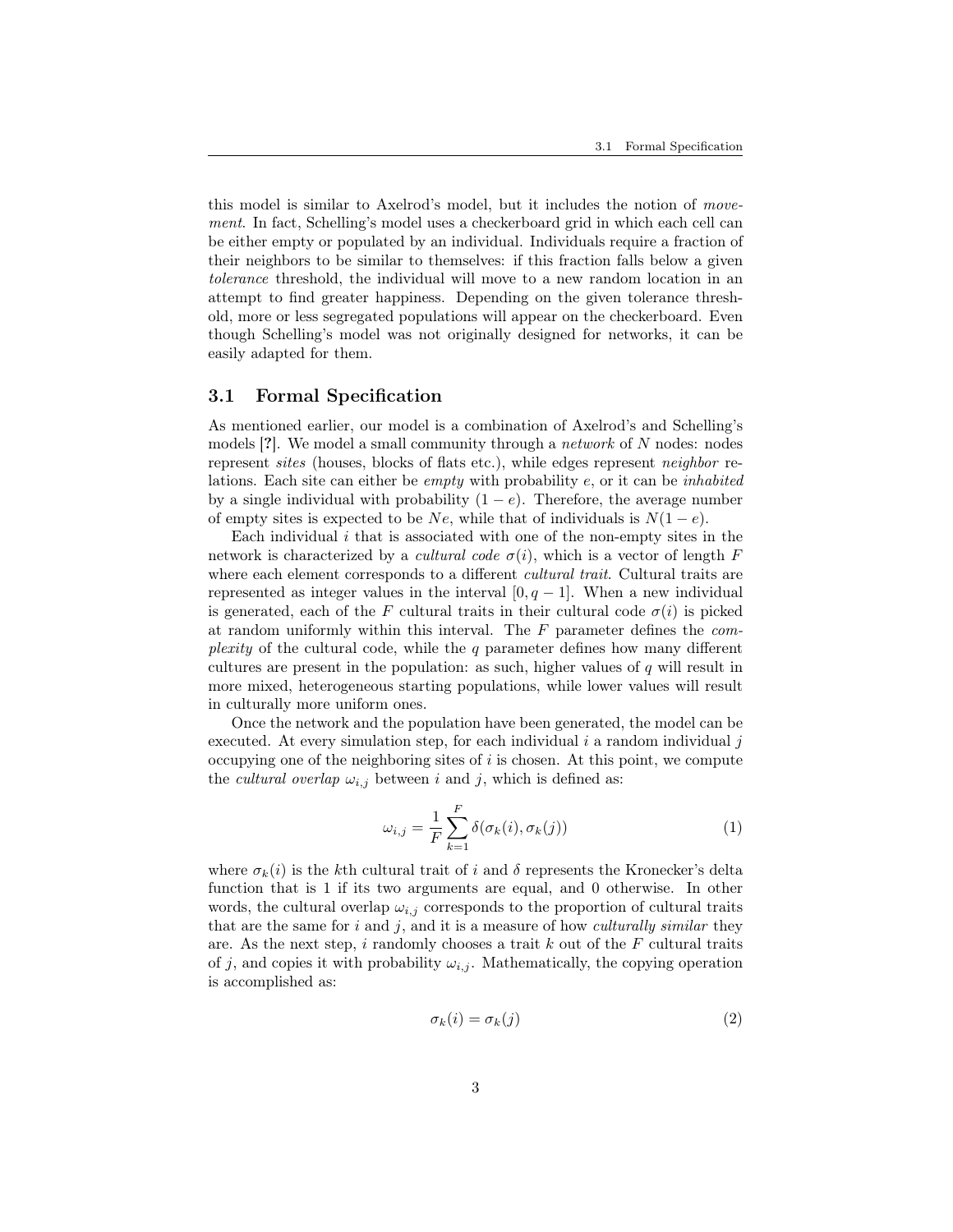this model is similar to Axelrod's model, but it includes the notion of movement. In fact, Schelling's model uses a checkerboard grid in which each cell can be either empty or populated by an individual. Individuals require a fraction of their neighbors to be similar to themselves: if this fraction falls below a given tolerance threshold, the individual will move to a new random location in an attempt to find greater happiness. Depending on the given tolerance threshold, more or less segregated populations will appear on the checkerboard. Even though Schelling's model was not originally designed for networks, it can be easily adapted for them.

#### 3.1 Formal Specification

As mentioned earlier, our model is a combination of Axelrod's and Schelling's models [?]. We model a small community through a network of N nodes: nodes represent sites (houses, blocks of flats etc.), while edges represent neighbor relations. Each site can either be empty with probability e, or it can be inhabited by a single individual with probability  $(1 - e)$ . Therefore, the average number of empty sites is expected to be Ne, while that of individuals is  $N(1-e)$ .

Each individual  $i$  that is associated with one of the non-empty sites in the network is characterized by a *cultural code*  $\sigma(i)$ , which is a vector of length F where each element corresponds to a different *cultural trait*. Cultural traits are represented as integer values in the interval  $[0, q - 1]$ . When a new individual is generated, each of the F cultural traits in their cultural code  $\sigma(i)$  is picked at random uniformly within this interval. The  $F$  parameter defines the complexity of the cultural code, while the  $q$  parameter defines how many different cultures are present in the population: as such, higher values of  $q$  will result in more mixed, heterogeneous starting populations, while lower values will result in culturally more uniform ones.

Once the network and the population have been generated, the model can be executed. At every simulation step, for each individual  $i$  a random individual  $j$ occupying one of the neighboring sites of  $i$  is chosen. At this point, we compute the *cultural overlap*  $\omega_{i,j}$  between i and j, which is defined as:

$$
\omega_{i,j} = \frac{1}{F} \sum_{k=1}^{F} \delta(\sigma_k(i), \sigma_k(j))
$$
\n(1)

where  $\sigma_k(i)$  is the kth cultural trait of i and  $\delta$  represents the Kronecker's delta function that is 1 if its two arguments are equal, and 0 otherwise. In other words, the cultural overlap  $\omega_{i,j}$  corresponds to the proportion of cultural traits that are the same for  $i$  and  $j$ , and it is a measure of how *culturally similar* they are. As the next step, i randomly chooses a trait k out of the  $F$  cultural traits of j, and copies it with probability  $\omega_{i,j}$ . Mathematically, the copying operation is accomplished as:

$$
\sigma_k(i) = \sigma_k(j) \tag{2}
$$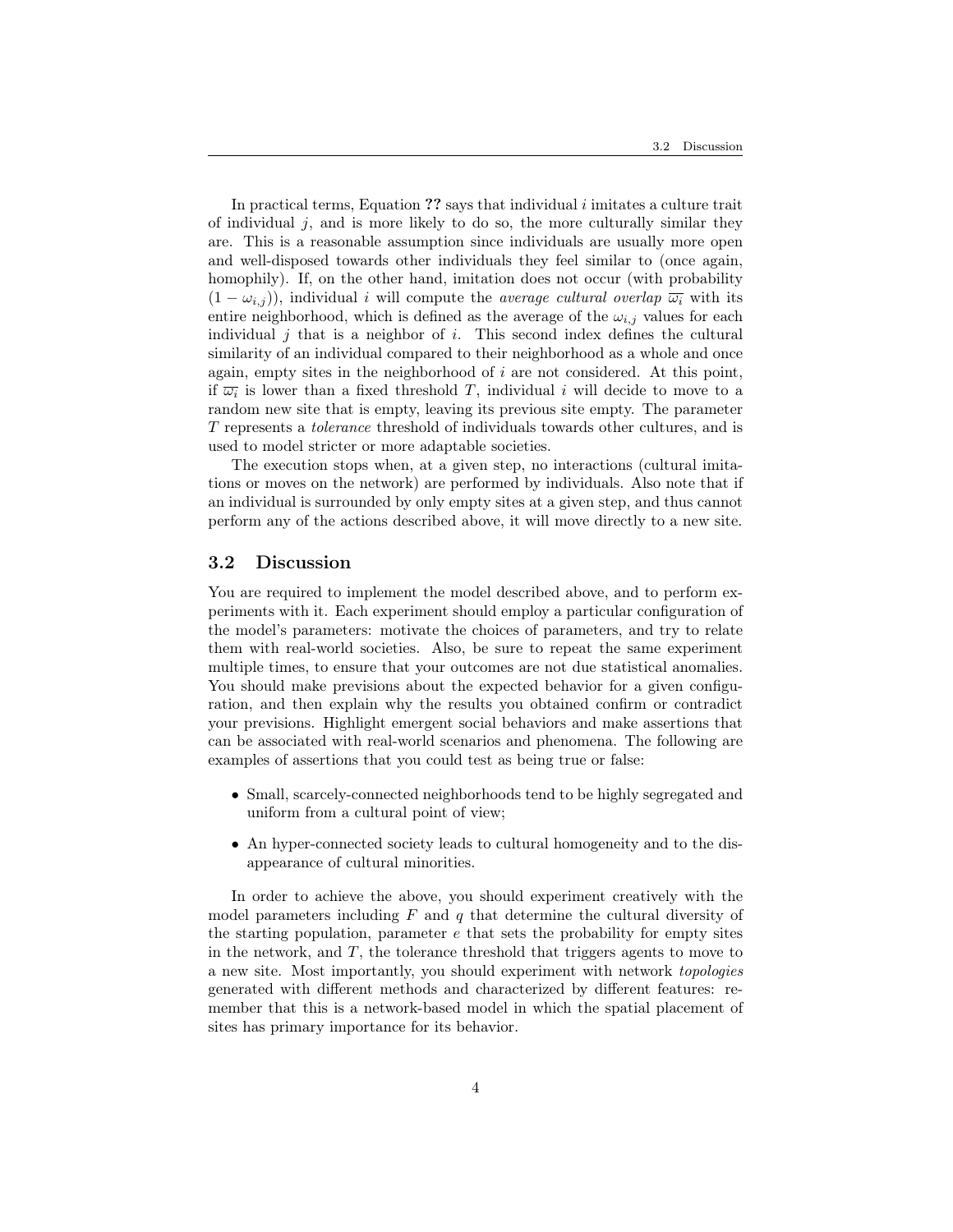In practical terms, Equation ?? says that individual i imitates a culture trait of individual  $j$ , and is more likely to do so, the more culturally similar they are. This is a reasonable assumption since individuals are usually more open and well-disposed towards other individuals they feel similar to (once again, homophily). If, on the other hand, imitation does not occur (with probability  $(1 - \omega_{i,j})$ , individual i will compute the *average cultural overlap*  $\overline{\omega_i}$  with its entire neighborhood, which is defined as the average of the  $\omega_{i,j}$  values for each individual  $j$  that is a neighbor of  $i$ . This second index defines the cultural similarity of an individual compared to their neighborhood as a whole and once again, empty sites in the neighborhood of  $i$  are not considered. At this point, if  $\overline{\omega_i}$  is lower than a fixed threshold T, individual i will decide to move to a random new site that is empty, leaving its previous site empty. The parameter T represents a tolerance threshold of individuals towards other cultures, and is used to model stricter or more adaptable societies.

The execution stops when, at a given step, no interactions (cultural imitations or moves on the network) are performed by individuals. Also note that if an individual is surrounded by only empty sites at a given step, and thus cannot perform any of the actions described above, it will move directly to a new site.

#### 3.2 Discussion

You are required to implement the model described above, and to perform experiments with it. Each experiment should employ a particular configuration of the model's parameters: motivate the choices of parameters, and try to relate them with real-world societies. Also, be sure to repeat the same experiment multiple times, to ensure that your outcomes are not due statistical anomalies. You should make previsions about the expected behavior for a given configuration, and then explain why the results you obtained confirm or contradict your previsions. Highlight emergent social behaviors and make assertions that can be associated with real-world scenarios and phenomena. The following are examples of assertions that you could test as being true or false:

- Small, scarcely-connected neighborhoods tend to be highly segregated and uniform from a cultural point of view;
- An hyper-connected society leads to cultural homogeneity and to the disappearance of cultural minorities.

In order to achieve the above, you should experiment creatively with the model parameters including  $F$  and  $q$  that determine the cultural diversity of the starting population, parameter  $e$  that sets the probability for empty sites in the network, and  $T$ , the tolerance threshold that triggers agents to move to a new site. Most importantly, you should experiment with network topologies generated with different methods and characterized by different features: remember that this is a network-based model in which the spatial placement of sites has primary importance for its behavior.